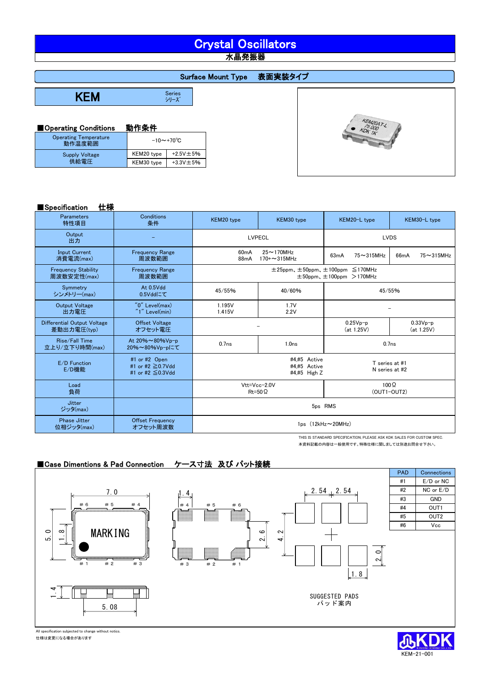# Crystal Oscillators 木晶発振器

# Surface Mount Type 表面実装タイプ

**KEM** 

Series<br>シリーズ

# ■Operating Conditions 動作条件

| <b>Operating Temperature</b><br>動作温度範囲 | $-10$ ~+70 $\degree$ C |                |
|----------------------------------------|------------------------|----------------|
| <b>Supply Voltage</b><br>供給電圧          | KEM20 type             | $+2.5V \pm 5%$ |
|                                        | KEM30 type             | $+3.3V \pm 5%$ |

# ■Specification **什**垟

| $\blacksquare$ opecincation<br>1– 17X      |                                                       |                                                                                                    |                                  |                          |                            |
|--------------------------------------------|-------------------------------------------------------|----------------------------------------------------------------------------------------------------|----------------------------------|--------------------------|----------------------------|
| <b>Parameters</b><br>特性項目                  | Conditions<br>条件                                      | KEM20 type                                                                                         | KEM30 type                       | KEM20-L type             | KEM30-L type               |
| Output<br>出力                               |                                                       | <b>LVPECL</b>                                                                                      |                                  | <b>LVDS</b>              |                            |
| <b>Input Current</b><br>消費電流(max)          | <b>Frequency Range</b><br>周波数範囲                       | 60 <sub>m</sub> A<br>88mA                                                                          | $25 \sim 170$ MHz<br>170+~315MHz | 63mA<br>$75 - 315$ MHz   | 66mA<br>$75 - 315$ MHz     |
| <b>Frequency Stability</b><br>周波数安定性(max)  | <b>Frequency Range</b><br>周波数範囲                       | $\pm 25$ ppm、 $\pm 50$ ppm、 $\pm 100$ ppm $\leq 170$ MHz<br>$\pm 50$ ppm, $\pm 100$ ppm $>$ 170MHz |                                  |                          |                            |
| Symmetry<br>シンメトリー(max)                    | At 0.5Vdd<br>0.5Vddにて                                 | 45/55%                                                                                             | 40/60%                           |                          | 45/55%                     |
| <b>Output Voltage</b><br>出力雷圧              | "0" Level(max)<br>$"1"$ Level(min)                    | 1.195V<br>1.415V                                                                                   | 1.7V<br>2.2V                     |                          |                            |
| Differential Output Voltage<br>差動出力電圧(typ) | <b>Offset Voltage</b><br>オフセット電圧                      |                                                                                                    |                                  | $0.25Vp-p$<br>(at 1.25V) | $0.33Vp-p$<br>(at 1.25V)   |
| Rise/Fall Time<br>立上り/立下り時間(max)           | At 20%~80%Vp-p<br>20%~80%Vp-pにて                       | 0.7 <sub>ns</sub>                                                                                  | 1.0 <sub>ns</sub>                |                          | 0.7 <sub>ns</sub>          |
| E/D Function<br>E/D機能                      | #1 or #2 Open<br>#1 or #2 ≥0.7Vdd<br>#1 or #2 ≦0.3Vdd | #4.#5 Active<br>T series at #1<br>#4.#5 Active<br>N series at #2<br>#4,#5 High Z                   |                                  |                          |                            |
| Load<br>負荷                                 |                                                       | $Rt = 50 \Omega$                                                                                   | Vtt=Vcc-2.0V                     |                          | $100\Omega$<br>(OUT1-OUT2) |
| Jitter<br>ジッタ(max)                         |                                                       | 5ps RMS                                                                                            |                                  |                          |                            |
| <b>Phase Jitter</b><br>位相ジッタ(max)          | <b>Offset Frequency</b><br>オフセット周波数                   | $1ps(12kHz \sim 20MHz)$                                                                            |                                  |                          |                            |

THIS IS STANDARD SPECIFICATION, PLEASE ASK KDK SALES FOR CUSTOM SPEC. 本資料記載の内容は一般使用です。特殊仕様に関しましては別途お問合せ下さい。

**KDK 1K** 

# ■Case Dimentions & Pad Connection ケース寸法 及び パット接続



All specification subjected to change without notics. 仕様は変更になる場合があります